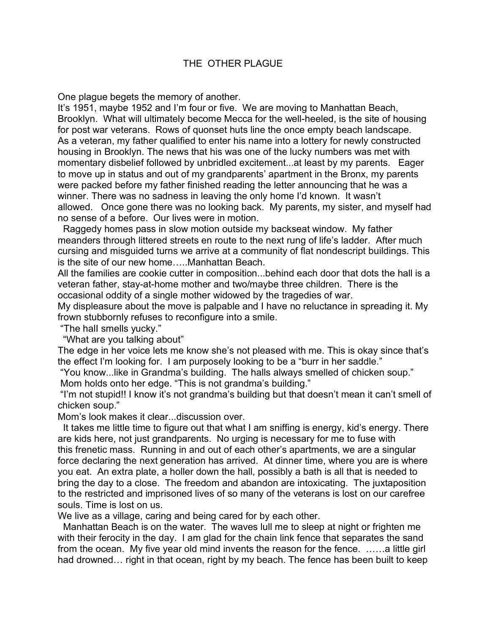## THE OTHER PLAGUE

One plague begets the memory of another.

It's 1951, maybe 1952 and I'm four or five. We are moving to Manhattan Beach, Brooklyn. What will ultimately become Mecca for the well-heeled, is the site of housing for post war veterans. Rows of quonset huts line the once empty beach landscape. As a veteran, my father qualified to enter his name into a lottery for newly constructed housing in Brooklyn. The news that his was one of the lucky numbers was met with momentary disbelief followed by unbridled excitement...at least by my parents. Eager to move up in status and out of my grandparents' apartment in the Bronx, my parents were packed before my father finished reading the letter announcing that he was a winner. There was no sadness in leaving the only home I'd known. It wasn't allowed. Once gone there was no looking back. My parents, my sister, and myself had no sense of a before. Our lives were in motion.

 Raggedy homes pass in slow motion outside my backseat window. My father meanders through littered streets en route to the next rung of life's ladder. After much cursing and misguided turns we arrive at a community of flat nondescript buildings. This is the site of our new home…..Manhattan Beach.

All the families are cookie cutter in composition...behind each door that dots the hall is a veteran father, stay-at-home mother and two/maybe three children. There is the occasional oddity of a single mother widowed by the tragedies of war.

My displeasure about the move is palpable and I have no reluctance in spreading it. My frown stubbornly refuses to reconfigure into a smile.

"The halI smells yucky."

"What are you talking about"

The edge in her voice lets me know she's not pleased with me. This is okay since that's the effect I'm looking for. I am purposely looking to be a "burr in her saddle."

"You know...like in Grandma's building. The halls always smelled of chicken soup." Mom holds onto her edge. "This is not grandma's building."

"I'm not stupid!! I know it's not grandma's building but that doesn't mean it can't smell of chicken soup."

Mom's look makes it clear...discussion over.

 It takes me little time to figure out that what I am sniffing is energy, kid's energy. There are kids here, not just grandparents. No urging is necessary for me to fuse with this frenetic mass. Running in and out of each other's apartments, we are a singular force declaring the next generation has arrived. At dinner time, where you are is where you eat. An extra plate, a holler down the hall, possibly a bath is all that is needed to bring the day to a close. The freedom and abandon are intoxicating. The juxtaposition to the restricted and imprisoned lives of so many of the veterans is lost on our carefree souls. Time is lost on us.

We live as a village, caring and being cared for by each other.

 Manhattan Beach is on the water. The waves lull me to sleep at night or frighten me with their ferocity in the day. I am glad for the chain link fence that separates the sand from the ocean. My five year old mind invents the reason for the fence. ……a little girl had drowned… right in that ocean, right by my beach. The fence has been built to keep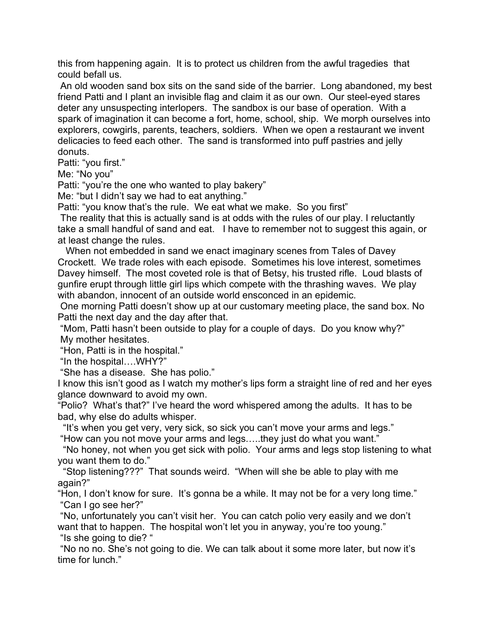this from happening again. It is to protect us children from the awful tragedies that could befall us.

An old wooden sand box sits on the sand side of the barrier. Long abandoned, my best friend Patti and I plant an invisible flag and claim it as our own. Our steel-eyed stares deter any unsuspecting interlopers. The sandbox is our base of operation. With a spark of imagination it can become a fort, home, school, ship. We morph ourselves into explorers, cowgirls, parents, teachers, soldiers. When we open a restaurant we invent delicacies to feed each other. The sand is transformed into puff pastries and jelly donuts.

Patti: "you first."

Me: "No you"

Patti: "you're the one who wanted to play bakery"

Me: "but I didn't say we had to eat anything."

Patti: "you know that's the rule. We eat what we make. So you first"

The reality that this is actually sand is at odds with the rules of our play. I reluctantly take a small handful of sand and eat. I have to remember not to suggest this again, or at least change the rules.

 When not embedded in sand we enact imaginary scenes from Tales of Davey Crockett. We trade roles with each episode. Sometimes his love interest, sometimes Davey himself. The most coveted role is that of Betsy, his trusted rifle. Loud blasts of gunfire erupt through little girl lips which compete with the thrashing waves. We play with abandon, innocent of an outside world ensconced in an epidemic.

One morning Patti doesn't show up at our customary meeting place, the sand box. No Patti the next day and the day after that.

"Mom, Patti hasn't been outside to play for a couple of days. Do you know why?" My mother hesitates.

"Hon, Patti is in the hospital."

"In the hospital….WHY?"

"She has a disease. She has polio."

I know this isn't good as I watch my mother's lips form a straight line of red and her eyes glance downward to avoid my own.

"Polio? What's that?" I've heard the word whispered among the adults. It has to be bad, why else do adults whisper.

"It's when you get very, very sick, so sick you can't move your arms and legs."

"How can you not move your arms and legs…..they just do what you want."

 "No honey, not when you get sick with polio. Your arms and legs stop listening to what you want them to do."

 "Stop listening???" That sounds weird. "When will she be able to play with me again?"

"Hon, I don't know for sure. It's gonna be a while. It may not be for a very long time." "Can I go see her?"

"No, unfortunately you can't visit her. You can catch polio very easily and we don't want that to happen. The hospital won't let you in anyway, you're too young." "Is she going to die? "

"No no no. She's not going to die. We can talk about it some more later, but now it's time for lunch."